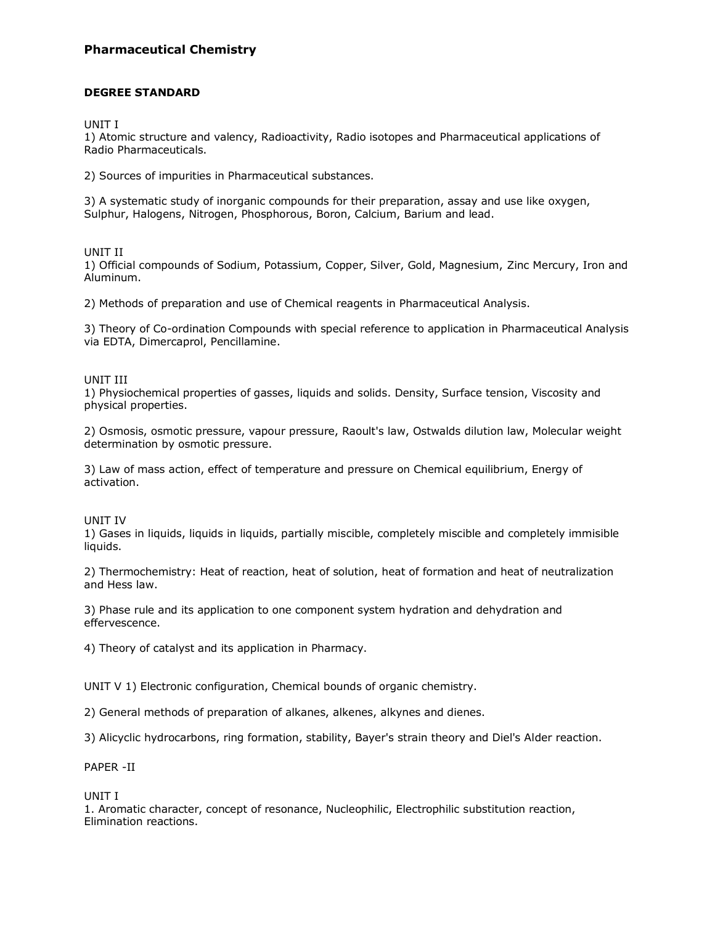## **Pharmaceutical Chemistry**

### **DEGREE STANDARD**

UNIT I

1) Atomic structure and valency, Radioactivity, Radio isotopes and Pharmaceutical applications of Radio Pharmaceuticals.

2) Sources of impurities in Pharmaceutical substances.

3) A systematic study of inorganic compounds for their preparation, assay and use like oxygen, Sulphur, Halogens, Nitrogen, Phosphorous, Boron, Calcium, Barium and lead.

#### UNIT II

1) Official compounds of Sodium, Potassium, Copper, Silver, Gold, Magnesium, Zinc Mercury, Iron and Aluminum.

2) Methods of preparation and use of Chemical reagents in Pharmaceutical Analysis.

3) Theory of Co-ordination Compounds with special reference to application in Pharmaceutical Analysis via EDTA, Dimercaprol, Pencillamine.

#### UNIT III

1) Physiochemical properties of gasses, liquids and solids. Density, Surface tension, Viscosity and physical properties.

2) Osmosis, osmotic pressure, vapour pressure, Raoult's law, Ostwalds dilution law, Molecular weight determination by osmotic pressure.

3) Law of mass action, effect of temperature and pressure on Chemical equilibrium, Energy of activation.

UNIT IV

1) Gases in liquids, liquids in liquids, partially miscible, completely miscible and completely immisible liquids.

2) Thermochemistry: Heat of reaction, heat of solution, heat of formation and heat of neutralization and Hess law.

3) Phase rule and its application to one component system hydration and dehydration and effervescence.

4) Theory of catalyst and its application in Pharmacy.

UNIT V 1) Electronic configuration, Chemical bounds of organic chemistry.

2) General methods of preparation of alkanes, alkenes, alkynes and dienes.

3) Alicyclic hydrocarbons, ring formation, stability, Bayer's strain theory and Diel's Alder reaction.

PAPER -II

UNIT I

1. Aromatic character, concept of resonance, Nucleophilic, Electrophilic substitution reaction, Elimination reactions.